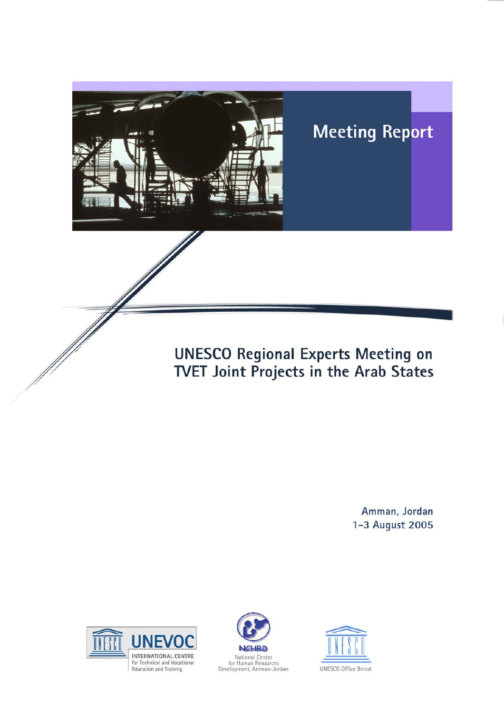

Amman, Jordan 1-3 August 2005





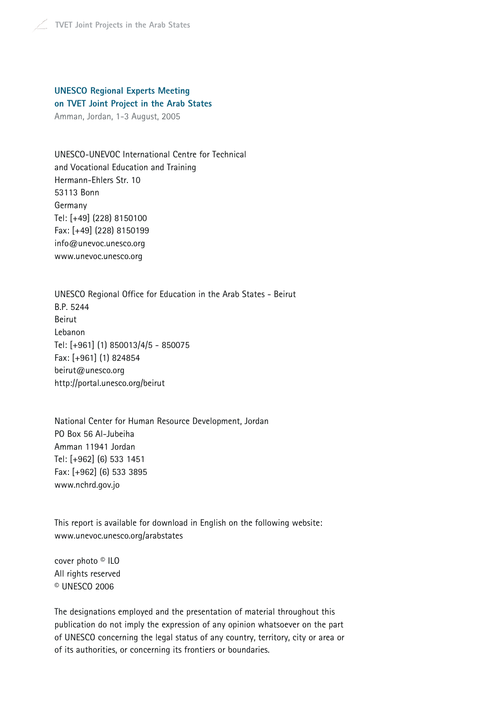**UNESCO Regional Experts Meeting on TVET Joint Project in the Arab States** Amman, Jordan, 1-3 August, 2005

UNESCO-UNEVOC International Centre for Technical and Vocational Education and Training Hermann-Ehlers Str. 10 53113 Bonn Germany Tel: [+49] (228) 8150100 Fax: [+49] (228) 8150199 info@unevoc.unesco.org www.unevoc.unesco.org

UNESCO Regional Office for Education in the Arab States - Beirut B.P. 5244 Beirut Lebanon Tel: [+961] (1) 850013/4/5 - 850075 Fax: [+961] (1) 824854 beirut@unesco.org http://portal.unesco.org/beirut

National Center for Human Resource Development, Jordan PO Box 56 Al-Jubeiha Amman 11941 Jordan Tel: [+962] (6) 533 1451 Fax: [+962] (6) 533 3895 www.nchrd.gov.jo

This report is available for download in English on the following website: www.unevoc.unesco.org/arabstates

cover photo © ILO All rights reserved © UNESCO 2006

The designations employed and the presentation of material throughout this publication do not imply the expression of any opinion whatsoever on the part of UNESCO concerning the legal status of any country, territory, city or area or of its authorities, or concerning its frontiers or boundaries.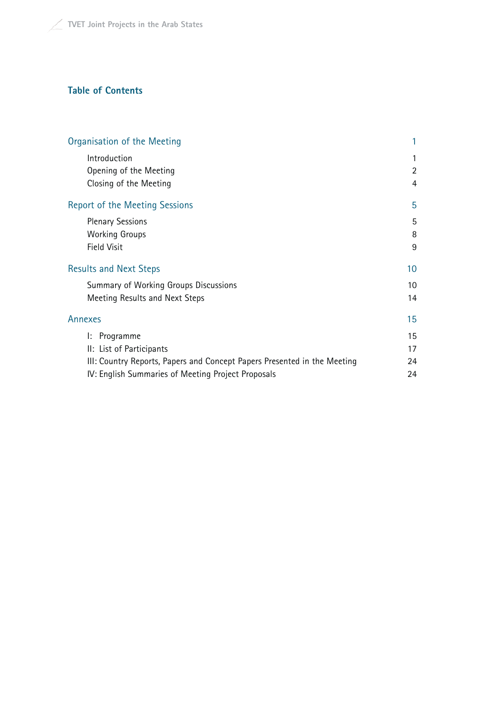# **Table of Contents**

| Organisation of the Meeting                                              |    |
|--------------------------------------------------------------------------|----|
| Introduction                                                             | 1  |
| Opening of the Meeting                                                   | 2  |
| Closing of the Meeting                                                   | 4  |
| <b>Report of the Meeting Sessions</b>                                    | 5  |
| <b>Plenary Sessions</b>                                                  | 5  |
| <b>Working Groups</b>                                                    | 8  |
| <b>Field Visit</b>                                                       | 9  |
| <b>Results and Next Steps</b>                                            | 10 |
| Summary of Working Groups Discussions                                    | 10 |
| Meeting Results and Next Steps                                           | 14 |
| Annexes                                                                  | 15 |
| I: Programme                                                             | 15 |
| II: List of Participants                                                 | 17 |
| III: Country Reports, Papers and Concept Papers Presented in the Meeting | 24 |
| IV: English Summaries of Meeting Project Proposals                       | 24 |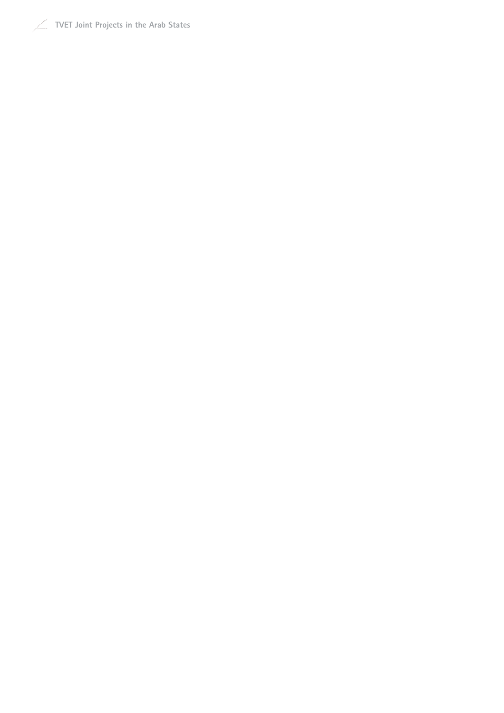**TVET Joint Projects in the Arab States**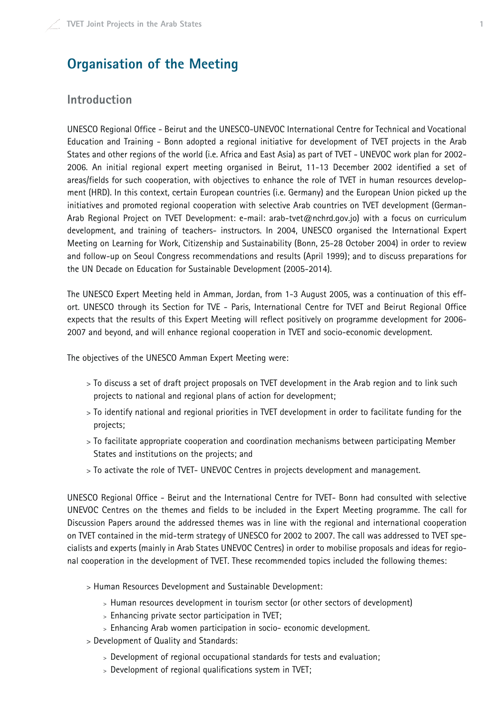# **Organisation of the Meeting**

## **Introduction**

UNESCO Regional Office - Beirut and the UNESCO-UNEVOC International Centre for Technical and Vocational Education and Training - Bonn adopted a regional initiative for development of TVET projects in the Arab States and other regions of the world (i.e. Africa and East Asia) as part of TVET - UNEVOC work plan for 2002- 2006. An initial regional expert meeting organised in Beirut, 11-13 December 2002 identified a set of areas/fields for such cooperation, with objectives to enhance the role of TVET in human resources development (HRD). In this context, certain European countries (i.e. Germany) and the European Union picked up the initiatives and promoted regional cooperation with selective Arab countries on TVET development (German-Arab Regional Project on TVET Development: e-mail: arab-tvet@nchrd.gov.jo) with a focus on curriculum development, and training of teachers- instructors. In 2004, UNESCO organised the International Expert Meeting on Learning for Work, Citizenship and Sustainability (Bonn, 25-28 October 2004) in order to review and follow-up on Seoul Congress recommendations and results (April 1999); and to discuss preparations for the UN Decade on Education for Sustainable Development (2005-2014).

The UNESCO Expert Meeting held in Amman, Jordan, from 1-3 August 2005, was a continuation of this effort. UNESCO through its Section for TVE - Paris, International Centre for TVET and Beirut Regional Office expects that the results of this Expert Meeting will reflect positively on programme development for 2006- 2007 and beyond, and will enhance regional cooperation in TVET and socio-economic development.

The objectives of the UNESCO Amman Expert Meeting were:

- > To discuss a set of draft project proposals on TVET development in the Arab region and to link such projects to national and regional plans of action for development;
- > To identify national and regional priorities in TVET development in order to facilitate funding for the projects;
- > To facilitate appropriate cooperation and coordination mechanisms between participating Member States and institutions on the projects; and
- > To activate the role of TVET- UNEVOC Centres in projects development and management.

UNESCO Regional Office - Beirut and the International Centre for TVET- Bonn had consulted with selective UNEVOC Centres on the themes and fields to be included in the Expert Meeting programme. The call for Discussion Papers around the addressed themes was in line with the regional and international cooperation on TVET contained in the mid-term strategy of UNESCO for 2002 to 2007. The call was addressed to TVET specialists and experts (mainly in Arab States UNEVOC Centres) in order to mobilise proposals and ideas for regional cooperation in the development of TVET. These recommended topics included the following themes:

- > Human Resources Development and Sustainable Development:
	- <sup>&</sup>gt; Human resources development in tourism sector (or other sectors of development)
	- <sup>&</sup>gt; Enhancing private sector participation in TVET;
	- <sup>&</sup>gt; Enhancing Arab women participation in socio- economic development.
- > Development of Quality and Standards:
	- <sup>&</sup>gt; Development of regional occupational standards for tests and evaluation;
	- <sup>&</sup>gt; Development of regional qualifications system in TVET;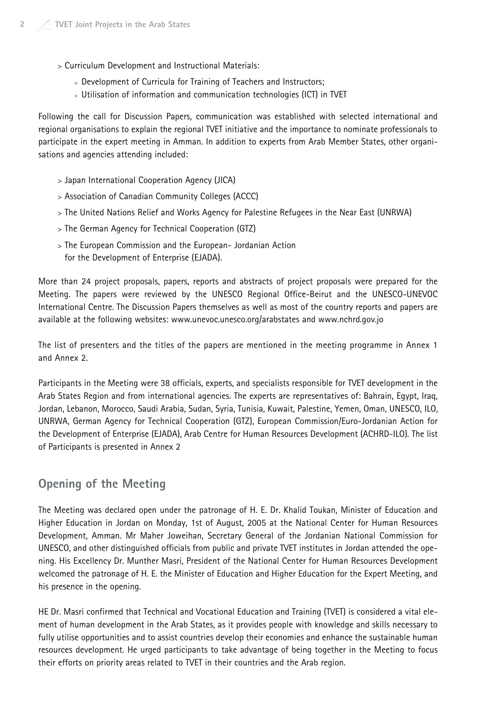- > Curriculum Development and Instructional Materials:
	- <sup>&</sup>gt; Development of Curricula for Training of Teachers and Instructors;
	- <sup>&</sup>gt; Utilisation of information and communication technologies (ICT) in TVET

Following the call for Discussion Papers, communication was established with selected international and regional organisations to explain the regional TVET initiative and the importance to nominate professionals to participate in the expert meeting in Amman. In addition to experts from Arab Member States, other organisations and agencies attending included:

- > Japan International Cooperation Agency (JICA)
- > Association of Canadian Community Colleges (ACCC)
- > The United Nations Relief and Works Agency for Palestine Refugees in the Near East (UNRWA)
- > The German Agency for Technical Cooperation (GTZ)
- > The European Commission and the European- Jordanian Action for the Development of Enterprise (EJADA).

More than 24 project proposals, papers, reports and abstracts of project proposals were prepared for the Meeting. The papers were reviewed by the UNESCO Regional Office-Beirut and the UNESCO-UNEVOC International Centre. The Discussion Papers themselves as well as most of the country reports and papers are available at the following websites: www.unevoc.unesco.org/arabstates and www.nchrd.gov.jo

The list of presenters and the titles of the papers are mentioned in the meeting programme in Annex 1 and Annex 2.

Participants in the Meeting were 38 officials, experts, and specialists responsible for TVET development in the Arab States Region and from international agencies. The experts are representatives of: Bahrain, Egypt, Iraq, Jordan, Lebanon, Morocco, Saudi Arabia, Sudan, Syria, Tunisia, Kuwait, Palestine, Yemen, Oman, UNESCO, ILO, UNRWA, German Agency for Technical Cooperation (GTZ), European Commission/Euro-Jordanian Action for the Development of Enterprise (EJADA), Arab Centre for Human Resources Development (ACHRD-ILO). The list of Participants is presented in Annex 2

## **Opening of the Meeting**

The Meeting was declared open under the patronage of H. E. Dr. Khalid Toukan, Minister of Education and Higher Education in Jordan on Monday, 1st of August, 2005 at the National Center for Human Resources Development, Amman. Mr Maher Joweihan, Secretary General of the Jordanian National Commission for UNESCO, and other distinguished officials from public and private TVET institutes in Jordan attended the opening. His Excellency Dr. Munther Masri, President of the National Center for Human Resources Development welcomed the patronage of H. E. the Minister of Education and Higher Education for the Expert Meeting, and his presence in the opening.

HE Dr. Masri confirmed that Technical and Vocational Education and Training (TVET) is considered a vital element of human development in the Arab States, as it provides people with knowledge and skills necessary to fully utilise opportunities and to assist countries develop their economies and enhance the sustainable human resources development. He urged participants to take advantage of being together in the Meeting to focus their efforts on priority areas related to TVET in their countries and the Arab region.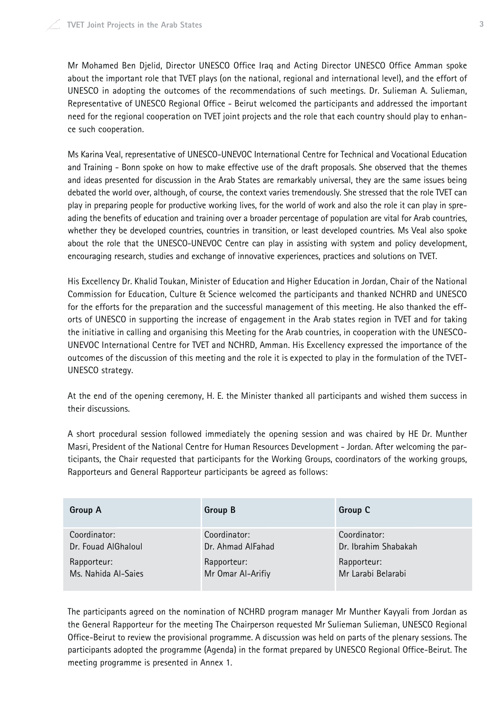Mr Mohamed Ben Djelid, Director UNESCO Office Iraq and Acting Director UNESCO Office Amman spoke about the important role that TVET plays (on the national, regional and international level), and the effort of UNESCO in adopting the outcomes of the recommendations of such meetings. Dr. Sulieman A. Sulieman, Representative of UNESCO Regional Office - Beirut welcomed the participants and addressed the important need for the regional cooperation on TVET joint projects and the role that each country should play to enhance such cooperation.

Ms Karina Veal, representative of UNESCO-UNEVOC International Centre for Technical and Vocational Education and Training - Bonn spoke on how to make effective use of the draft proposals. She observed that the themes and ideas presented for discussion in the Arab States are remarkably universal, they are the same issues being debated the world over, although, of course, the context varies tremendously. She stressed that the role TVET can play in preparing people for productive working lives, for the world of work and also the role it can play in spreading the benefits of education and training over a broader percentage of population are vital for Arab countries, whether they be developed countries, countries in transition, or least developed countries. Ms Veal also spoke about the role that the UNESCO-UNEVOC Centre can play in assisting with system and policy development, encouraging research, studies and exchange of innovative experiences, practices and solutions on TVET.

His Excellency Dr. Khalid Toukan, Minister of Education and Higher Education in Jordan, Chair of the National Commission for Education, Culture & Science welcomed the participants and thanked NCHRD and UNESCO for the efforts for the preparation and the successful management of this meeting. He also thanked the efforts of UNESCO in supporting the increase of engagement in the Arab states region in TVET and for taking the initiative in calling and organising this Meeting for the Arab countries, in cooperation with the UNESCO-UNEVOC International Centre for TVET and NCHRD, Amman. His Excellency expressed the importance of the outcomes of the discussion of this meeting and the role it is expected to play in the formulation of the TVET-UNESCO strategy.

At the end of the opening ceremony, H. E. the Minister thanked all participants and wished them success in their discussions.

A short procedural session followed immediately the opening session and was chaired by HE Dr. Munther Masri, President of the National Centre for Human Resources Development - Jordan. After welcoming the participants, the Chair requested that participants for the Working Groups, coordinators of the working groups, Rapporteurs and General Rapporteur participants be agreed as follows:

| <b>Group A</b>      | <b>Group B</b>    | Group C              |
|---------------------|-------------------|----------------------|
| Coordinator:        | Coordinator:      | Coordinator:         |
| Dr. Fouad AlGhaloul | Dr. Ahmad AlFahad | Dr. Ibrahim Shabakah |
| Rapporteur:         | Rapporteur:       | Rapporteur:          |
| Ms. Nahida Al-Saies | Mr Omar Al-Arifiy | Mr Larabi Belarabi   |

The participants agreed on the nomination of NCHRD program manager Mr Munther Kayyali from Jordan as the General Rapporteur for the meeting The Chairperson requested Mr Sulieman Sulieman, UNESCO Regional Office-Beirut to review the provisional programme. A discussion was held on parts of the plenary sessions. The participants adopted the programme (Agenda) in the format prepared by UNESCO Regional Office-Beirut. The meeting programme is presented in Annex 1.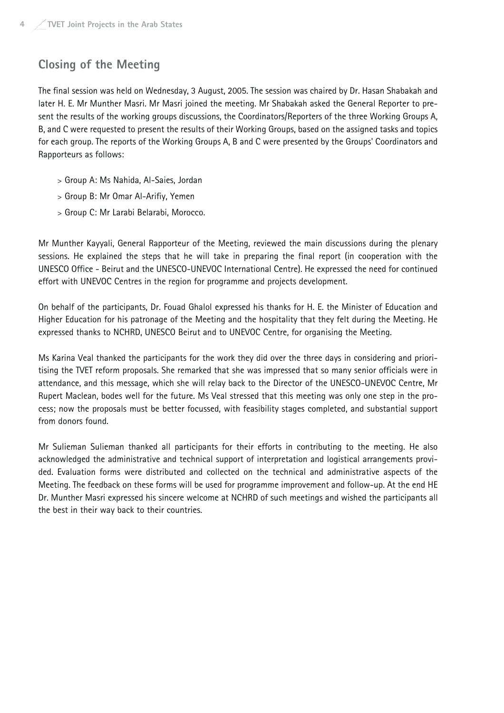# **Closing of the Meeting**

The final session was held on Wednesday, 3 August, 2005. The session was chaired by Dr. Hasan Shabakah and later H. E. Mr Munther Masri. Mr Masri joined the meeting. Mr Shabakah asked the General Reporter to present the results of the working groups discussions, the Coordinators/Reporters of the three Working Groups A, B, and C were requested to present the results of their Working Groups, based on the assigned tasks and topics for each group. The reports of the Working Groups A, B and C were presented by the Groups' Coordinators and Rapporteurs as follows:

- > Group A: Ms Nahida, Al-Saies, Jordan
- > Group B: Mr Omar Al-Arifiy, Yemen
- > Group C: Mr Larabi Belarabi, Morocco.

Mr Munther Kayyali, General Rapporteur of the Meeting, reviewed the main discussions during the plenary sessions. He explained the steps that he will take in preparing the final report (in cooperation with the UNESCO Office - Beirut and the UNESCO-UNEVOC International Centre). He expressed the need for continued effort with UNEVOC Centres in the region for programme and projects development.

On behalf of the participants, Dr. Fouad Ghalol expressed his thanks for H. E. the Minister of Education and Higher Education for his patronage of the Meeting and the hospitality that they felt during the Meeting. He expressed thanks to NCHRD, UNESCO Beirut and to UNEVOC Centre, for organising the Meeting.

Ms Karina Veal thanked the participants for the work they did over the three days in considering and prioritising the TVET reform proposals. She remarked that she was impressed that so many senior officials were in attendance, and this message, which she will relay back to the Director of the UNESCO-UNEVOC Centre, Mr Rupert Maclean, bodes well for the future. Ms Veal stressed that this meeting was only one step in the process; now the proposals must be better focussed, with feasibility stages completed, and substantial support from donors found.

Mr Sulieman Sulieman thanked all participants for their efforts in contributing to the meeting. He also acknowledged the administrative and technical support of interpretation and logistical arrangements provided. Evaluation forms were distributed and collected on the technical and administrative aspects of the Meeting. The feedback on these forms will be used for programme improvement and follow-up. At the end HE Dr. Munther Masri expressed his sincere welcome at NCHRD of such meetings and wished the participants all the best in their way back to their countries.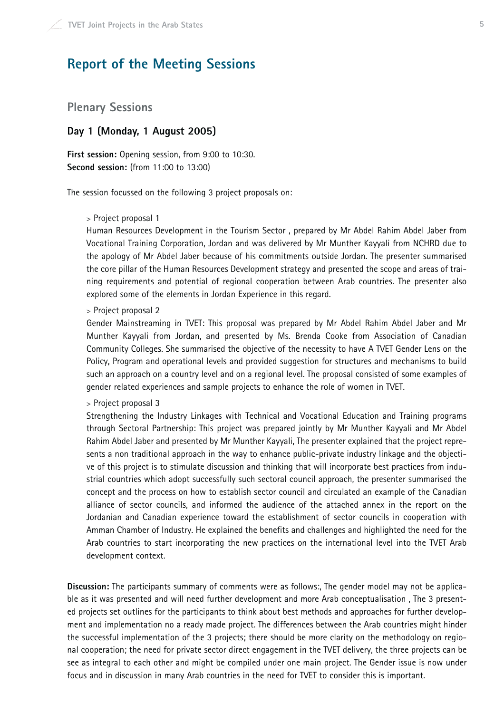# **Report of the Meeting Sessions**

### **Plenary Sessions**

#### **Day 1 (Monday, 1 August 2005)**

**First session:** Opening session, from 9:00 to 10:30. **Second session:** (from 11:00 to 13:00)

The session focussed on the following 3 project proposals on:

#### > Project proposal 1

Human Resources Development in the Tourism Sector , prepared by Mr Abdel Rahim Abdel Jaber from Vocational Training Corporation, Jordan and was delivered by Mr Munther Kayyali from NCHRD due to the apology of Mr Abdel Jaber because of his commitments outside Jordan. The presenter summarised the core pillar of the Human Resources Development strategy and presented the scope and areas of training requirements and potential of regional cooperation between Arab countries. The presenter also explored some of the elements in Jordan Experience in this regard.

#### > Project proposal 2

Gender Mainstreaming in TVET: This proposal was prepared by Mr Abdel Rahim Abdel Jaber and Mr Munther Kayyali from Jordan, and presented by Ms. Brenda Cooke from Association of Canadian Community Colleges. She summarised the objective of the necessity to have A TVET Gender Lens on the Policy, Program and operational levels and provided suggestion for structures and mechanisms to build such an approach on a country level and on a regional level. The proposal consisted of some examples of gender related experiences and sample projects to enhance the role of women in TVET.

#### > Project proposal 3

Strengthening the Industry Linkages with Technical and Vocational Education and Training programs through Sectoral Partnership: This project was prepared jointly by Mr Munther Kayyali and Mr Abdel Rahim Abdel Jaber and presented by Mr Munther Kayyali, The presenter explained that the project represents a non traditional approach in the way to enhance public-private industry linkage and the objective of this project is to stimulate discussion and thinking that will incorporate best practices from industrial countries which adopt successfully such sectoral council approach, the presenter summarised the concept and the process on how to establish sector council and circulated an example of the Canadian alliance of sector councils, and informed the audience of the attached annex in the report on the Jordanian and Canadian experience toward the establishment of sector councils in cooperation with Amman Chamber of Industry. He explained the benefits and challenges and highlighted the need for the Arab countries to start incorporating the new practices on the international level into the TVET Arab development context.

**Discussion:** The participants summary of comments were as follows:, The gender model may not be applicable as it was presented and will need further development and more Arab conceptualisation , The 3 presented projects set outlines for the participants to think about best methods and approaches for further development and implementation no a ready made project. The differences between the Arab countries might hinder the successful implementation of the 3 projects; there should be more clarity on the methodology on regional cooperation; the need for private sector direct engagement in the TVET delivery, the three projects can be see as integral to each other and might be compiled under one main project. The Gender issue is now under focus and in discussion in many Arab countries in the need for TVET to consider this is important.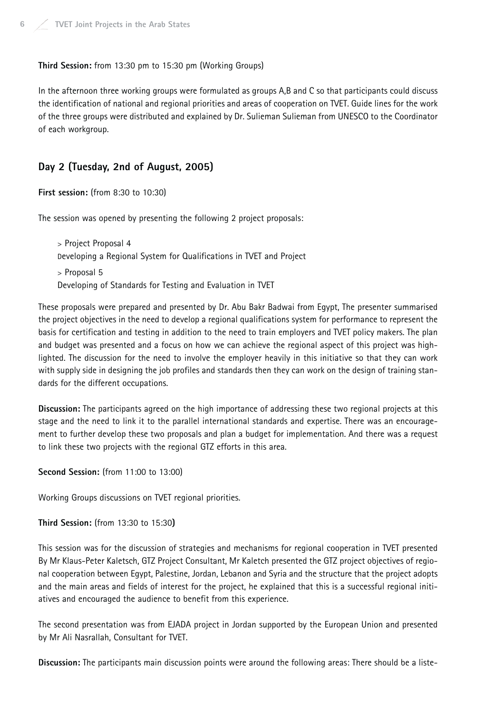#### **Third Session:** from 13:30 pm to 15:30 pm (Working Groups)

In the afternoon three working groups were formulated as groups A,B and C so that participants could discuss the identification of national and regional priorities and areas of cooperation on TVET. Guide lines for the work of the three groups were distributed and explained by Dr. Sulieman Sulieman from UNESCO to the Coordinator of each workgroup.

#### **Day 2 (Tuesday, 2nd of August, 2005)**

**First session:** (from 8:30 to 10:30)

The session was opened by presenting the following 2 project proposals:

> Project Proposal 4 Developing a Regional System for Qualifications in TVET and Project > Proposal 5 Developing of Standards for Testing and Evaluation in TVET

These proposals were prepared and presented by Dr. Abu Bakr Badwai from Egypt, The presenter summarised the project objectives in the need to develop a regional qualifications system for performance to represent the basis for certification and testing in addition to the need to train employers and TVET policy makers. The plan and budget was presented and a focus on how we can achieve the regional aspect of this project was highlighted. The discussion for the need to involve the employer heavily in this initiative so that they can work with supply side in designing the job profiles and standards then they can work on the design of training standards for the different occupations.

**Discussion:** The participants agreed on the high importance of addressing these two regional projects at this stage and the need to link it to the parallel international standards and expertise. There was an encouragement to further develop these two proposals and plan a budget for implementation. And there was a request to link these two projects with the regional GTZ efforts in this area.

**Second Session:** (from 11:00 to 13:00)

Working Groups discussions on TVET regional priorities.

**Third Session:** (from 13:30 to 15:30**)**

This session was for the discussion of strategies and mechanisms for regional cooperation in TVET presented By Mr Klaus-Peter Kaletsch, GTZ Project Consultant, Mr Kaletch presented the GTZ project objectives of regional cooperation between Egypt, Palestine, Jordan, Lebanon and Syria and the structure that the project adopts and the main areas and fields of interest for the project, he explained that this is a successful regional initiatives and encouraged the audience to benefit from this experience.

The second presentation was from EJADA project in Jordan supported by the European Union and presented by Mr Ali Nasrallah, Consultant for TVET.

**Discussion:** The participants main discussion points were around the following areas: There should be a liste-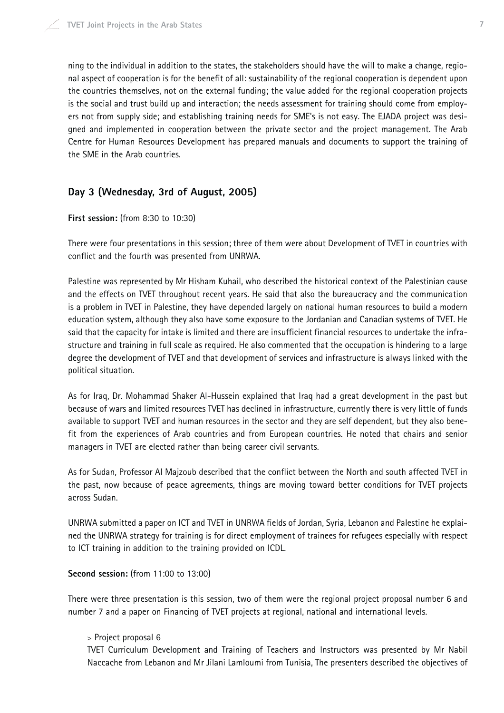ning to the individual in addition to the states, the stakeholders should have the will to make a change, regional aspect of cooperation is for the benefit of all: sustainability of the regional cooperation is dependent upon the countries themselves, not on the external funding; the value added for the regional cooperation projects is the social and trust build up and interaction; the needs assessment for training should come from employers not from supply side; and establishing training needs for SME's is not easy. The EJADA project was designed and implemented in cooperation between the private sector and the project management. The Arab Centre for Human Resources Development has prepared manuals and documents to support the training of the SME in the Arab countries.

## **Day 3 (Wednesday, 3rd of August, 2005)**

#### **First session:** (from 8:30 to 10:30)

There were four presentations in this session; three of them were about Development of TVET in countries with conflict and the fourth was presented from UNRWA.

Palestine was represented by Mr Hisham Kuhail, who described the historical context of the Palestinian cause and the effects on TVET throughout recent years. He said that also the bureaucracy and the communication is a problem in TVET in Palestine, they have depended largely on national human resources to build a modern education system, although they also have some exposure to the Jordanian and Canadian systems of TVET. He said that the capacity for intake is limited and there are insufficient financial resources to undertake the infrastructure and training in full scale as required. He also commented that the occupation is hindering to a large degree the development of TVET and that development of services and infrastructure is always linked with the political situation.

As for Iraq, Dr. Mohammad Shaker Al-Hussein explained that Iraq had a great development in the past but because of wars and limited resources TVET has declined in infrastructure, currently there is very little of funds available to support TVET and human resources in the sector and they are self dependent, but they also benefit from the experiences of Arab countries and from European countries. He noted that chairs and senior managers in TVET are elected rather than being career civil servants.

As for Sudan, Professor Al Majzoub described that the conflict between the North and south affected TVET in the past, now because of peace agreements, things are moving toward better conditions for TVET projects across Sudan.

UNRWA submitted a paper on ICT and TVET in UNRWA fields of Jordan, Syria, Lebanon and Palestine he explained the UNRWA strategy for training is for direct employment of trainees for refugees especially with respect to ICT training in addition to the training provided on ICDL.

#### **Second session:** (from 11:00 to 13:00)

There were three presentation is this session, two of them were the regional project proposal number 6 and number 7 and a paper on Financing of TVET projects at regional, national and international levels.

#### > Project proposal 6

TVET Curriculum Development and Training of Teachers and Instructors was presented by Mr Nabil Naccache from Lebanon and Mr Jilani Lamloumi from Tunisia, The presenters described the objectives of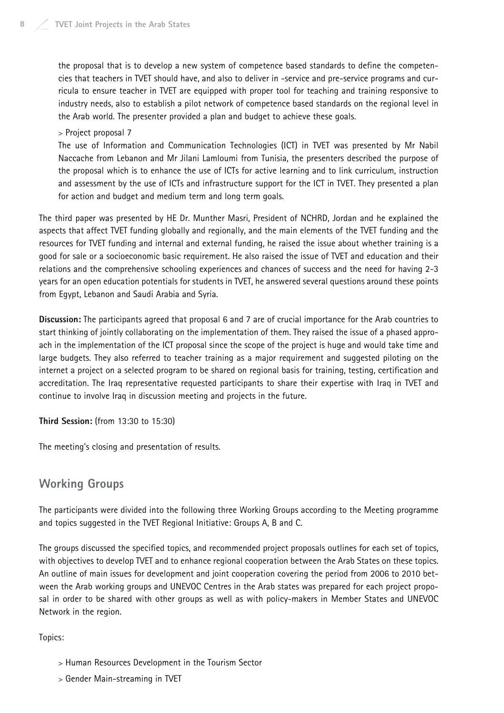the proposal that is to develop a new system of competence based standards to define the competencies that teachers in TVET should have, and also to deliver in -service and pre-service programs and curricula to ensure teacher in TVET are equipped with proper tool for teaching and training responsive to industry needs, also to establish a pilot network of competence based standards on the regional level in the Arab world. The presenter provided a plan and budget to achieve these goals.

#### > Project proposal 7

The use of Information and Communication Technologies (ICT) in TVET was presented by Mr Nabil Naccache from Lebanon and Mr Jilani Lamloumi from Tunisia, the presenters described the purpose of the proposal which is to enhance the use of ICTs for active learning and to link curriculum, instruction and assessment by the use of ICTs and infrastructure support for the ICT in TVET. They presented a plan for action and budget and medium term and long term goals.

The third paper was presented by HE Dr. Munther Masri, President of NCHRD, Jordan and he explained the aspects that affect TVET funding globally and regionally, and the main elements of the TVET funding and the resources for TVET funding and internal and external funding, he raised the issue about whether training is a good for sale or a socioeconomic basic requirement. He also raised the issue of TVET and education and their relations and the comprehensive schooling experiences and chances of success and the need for having 2-3 years for an open education potentials for students in TVET, he answered several questions around these points from Egypt, Lebanon and Saudi Arabia and Syria.

**Discussion:** The participants agreed that proposal 6 and 7 are of crucial importance for the Arab countries to start thinking of jointly collaborating on the implementation of them. They raised the issue of a phased approach in the implementation of the ICT proposal since the scope of the project is huge and would take time and large budgets. They also referred to teacher training as a major requirement and suggested piloting on the internet a project on a selected program to be shared on regional basis for training, testing, certification and accreditation. The Iraq representative requested participants to share their expertise with Iraq in TVET and continue to involve Iraq in discussion meeting and projects in the future.

**Third Session:** (from 13:30 to 15:30)

The meeting's closing and presentation of results.

## **Working Groups**

The participants were divided into the following three Working Groups according to the Meeting programme and topics suggested in the TVET Regional Initiative: Groups A, B and C.

The groups discussed the specified topics, and recommended project proposals outlines for each set of topics, with objectives to develop TVET and to enhance regional cooperation between the Arab States on these topics. An outline of main issues for development and joint cooperation covering the period from 2006 to 2010 between the Arab working groups and UNEVOC Centres in the Arab states was prepared for each project proposal in order to be shared with other groups as well as with policy-makers in Member States and UNEVOC Network in the region.

#### Topics:

- > Human Resources Development in the Tourism Sector
- > Gender Main-streaming in TVET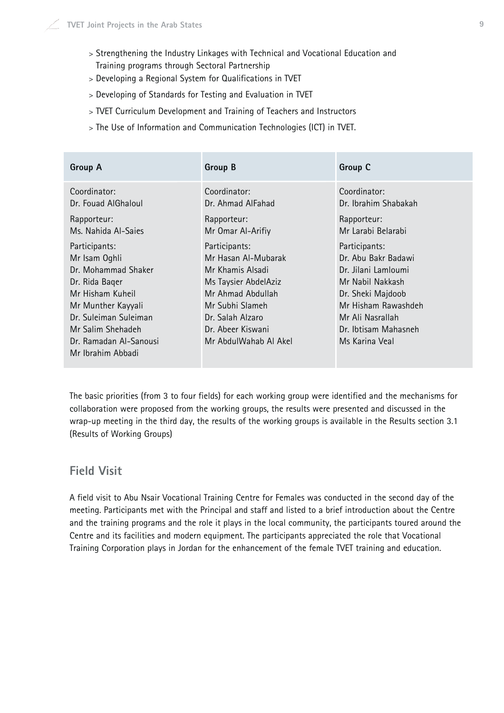- > Strengthening the Industry Linkages with Technical and Vocational Education and Training programs through Sectoral Partnership
- > Developing a Regional System for Qualifications in TVET
- > Developing of Standards for Testing and Evaluation in TVET
- > TVET Curriculum Development and Training of Teachers and Instructors
- > The Use of Information and Communication Technologies (ICT) in TVET.

| <b>Group A</b>                              | <b>Group B</b>        | <b>Group C</b>       |
|---------------------------------------------|-----------------------|----------------------|
| Coordinator:                                | Coordinator:          | Coordinator:         |
| Dr. Fouad AlGhaloul                         | Dr. Ahmad AlFahad     | Dr. Ibrahim Shabakah |
| Rapporteur:                                 | Rapporteur:           | Rapporteur:          |
| Ms. Nahida Al-Saies                         | Mr Omar Al-Arifiy     | Mr Larabi Belarabi   |
| Participants:                               | Participants:         | Participants:        |
| Mr Isam Oghli                               | Mr Hasan Al-Mubarak   | Dr. Abu Bakr Badawi  |
| Dr. Mohammad Shaker                         | Mr Khamis Alsadi      | Dr. Jilani Lamloumi  |
| Dr. Rida Bager                              | Ms Taysier AbdelAziz  | Mr Nabil Nakkash     |
| Mr Hisham Kuheil                            | Mr Ahmad Abdullah     | Dr. Sheki Majdoob    |
| Mr Munther Kayyali                          | Mr Subhi Slameh       | Mr Hisham Rawashdeh  |
| Dr. Suleiman Suleiman                       | Dr. Salah Alzaro      | Mr Ali Nasrallah     |
| Mr Salim Shehadeh                           | Dr. Abeer Kiswani     | Dr. Ibtisam Mahasneh |
| Dr. Ramadan Al-Sanousi<br>Mr Ibrahim Abbadi | Mr AbdulWahab Al Akel | Ms Karina Veal       |

The basic priorities (from 3 to four fields) for each working group were identified and the mechanisms for collaboration were proposed from the working groups, the results were presented and discussed in the wrap-up meeting in the third day, the results of the working groups is available in the Results section 3.1 (Results of Working Groups)

## **Field Visit**

A field visit to Abu Nsair Vocational Training Centre for Females was conducted in the second day of the meeting. Participants met with the Principal and staff and listed to a brief introduction about the Centre and the training programs and the role it plays in the local community, the participants toured around the Centre and its facilities and modern equipment. The participants appreciated the role that Vocational Training Corporation plays in Jordan for the enhancement of the female TVET training and education.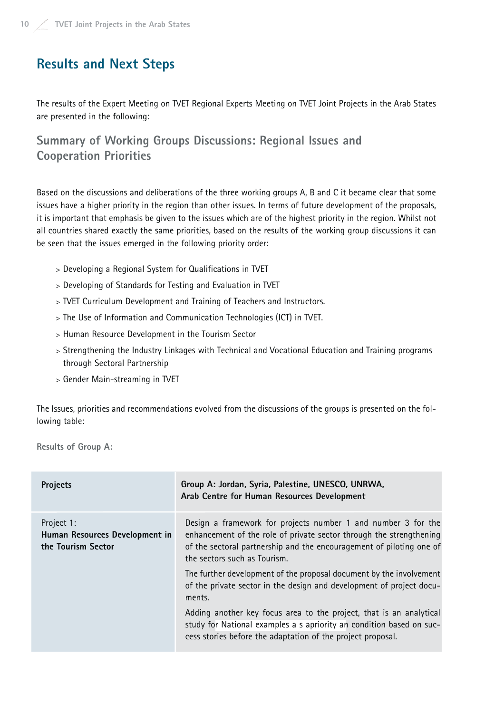# **Results and Next Steps**

The results of the Expert Meeting on TVET Regional Experts Meeting on TVET Joint Projects in the Arab States are presented in the following:

# **Summary of Working Groups Discussions: Regional Issues and Cooperation Priorities**

Based on the discussions and deliberations of the three working groups A, B and C it became clear that some issues have a higher priority in the region than other issues. In terms of future development of the proposals, it is important that emphasis be given to the issues which are of the highest priority in the region. Whilst not all countries shared exactly the same priorities, based on the results of the working group discussions it can be seen that the issues emerged in the following priority order:

- > Developing a Regional System for Qualifications in TVET
- > Developing of Standards for Testing and Evaluation in TVET
- > TVET Curriculum Development and Training of Teachers and Instructors.
- > The Use of Information and Communication Technologies (ICT) in TVET.
- > Human Resource Development in the Tourism Sector
- > Strengthening the Industry Linkages with Technical and Vocational Education and Training programs through Sectoral Partnership
- > Gender Main-streaming in TVET

The Issues, priorities and recommendations evolved from the discussions of the groups is presented on the following table:

**Results of Group A:**

| Projects                                                           | Group A: Jordan, Syria, Palestine, UNESCO, UNRWA,<br>Arab Centre for Human Resources Development                                                                                                                                             |
|--------------------------------------------------------------------|----------------------------------------------------------------------------------------------------------------------------------------------------------------------------------------------------------------------------------------------|
| Project 1:<br>Human Resources Development in<br>the Tourism Sector | Design a framework for projects number 1 and number 3 for the<br>enhancement of the role of private sector through the strengthening<br>of the sectoral partnership and the encouragement of piloting one of<br>the sectors such as Tourism. |
|                                                                    | The further development of the proposal document by the involvement<br>of the private sector in the design and development of project docu-<br>ments.                                                                                        |
|                                                                    | Adding another key focus area to the project, that is an analytical<br>study for National examples a s apriority an condition based on suc-<br>cess stories before the adaptation of the project proposal.                                   |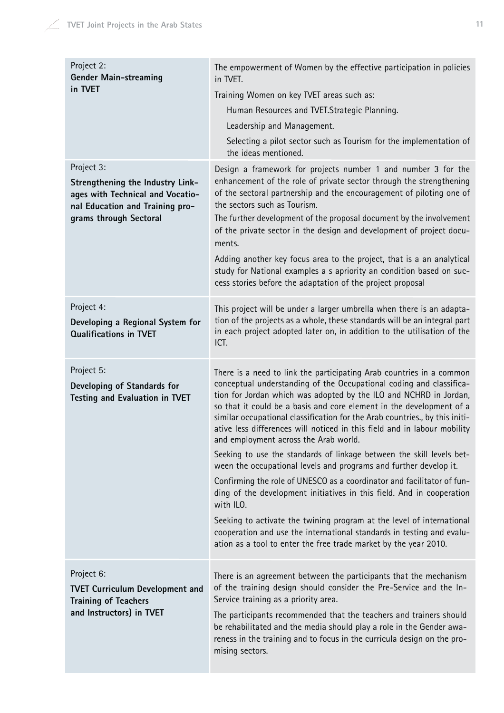| Project 2:<br><b>Gender Main-streaming</b>                                                                                                      | The empowerment of Women by the effective participation in policies<br>in TVET.                                                                                                                                                                                                                                                                                                                                                                                                                                                                                                                                      |
|-------------------------------------------------------------------------------------------------------------------------------------------------|----------------------------------------------------------------------------------------------------------------------------------------------------------------------------------------------------------------------------------------------------------------------------------------------------------------------------------------------------------------------------------------------------------------------------------------------------------------------------------------------------------------------------------------------------------------------------------------------------------------------|
| in TVET                                                                                                                                         | Training Women on key TVET areas such as:                                                                                                                                                                                                                                                                                                                                                                                                                                                                                                                                                                            |
|                                                                                                                                                 | Human Resources and TVET.Strategic Planning.                                                                                                                                                                                                                                                                                                                                                                                                                                                                                                                                                                         |
|                                                                                                                                                 | Leadership and Management.                                                                                                                                                                                                                                                                                                                                                                                                                                                                                                                                                                                           |
|                                                                                                                                                 | Selecting a pilot sector such as Tourism for the implementation of<br>the ideas mentioned.                                                                                                                                                                                                                                                                                                                                                                                                                                                                                                                           |
| Project 3:<br>Strengthening the Industry Link-<br>ages with Technical and Vocatio-<br>nal Education and Training pro-<br>grams through Sectoral | Design a framework for projects number 1 and number 3 for the<br>enhancement of the role of private sector through the strengthening<br>of the sectoral partnership and the encouragement of piloting one of<br>the sectors such as Tourism.<br>The further development of the proposal document by the involvement<br>of the private sector in the design and development of project docu-<br>ments.<br>Adding another key focus area to the project, that is a an analytical<br>study for National examples a s apriority an condition based on suc-<br>cess stories before the adaptation of the project proposal |
| Project 4:<br>Developing a Regional System for<br><b>Qualifications in TVET</b>                                                                 | This project will be under a larger umbrella when there is an adapta-<br>tion of the projects as a whole, these standards will be an integral part<br>in each project adopted later on, in addition to the utilisation of the<br>ICT.                                                                                                                                                                                                                                                                                                                                                                                |
| Project 5:<br>Developing of Standards for<br><b>Testing and Evaluation in TVET</b>                                                              | There is a need to link the participating Arab countries in a common<br>conceptual understanding of the Occupational coding and classifica-<br>tion for Jordan which was adopted by the ILO and NCHRD in Jordan,<br>so that it could be a basis and core element in the development of a<br>similar occupational classification for the Arab countries., by this initi-<br>ative less differences will noticed in this field and in labour mobility<br>and employment across the Arab world.                                                                                                                         |
|                                                                                                                                                 | Seeking to use the standards of linkage between the skill levels bet-<br>ween the occupational levels and programs and further develop it.<br>Confirming the role of UNESCO as a coordinator and facilitator of fun-                                                                                                                                                                                                                                                                                                                                                                                                 |
|                                                                                                                                                 | ding of the development initiatives in this field. And in cooperation<br>with ILO.                                                                                                                                                                                                                                                                                                                                                                                                                                                                                                                                   |
|                                                                                                                                                 | Seeking to activate the twining program at the level of international<br>cooperation and use the international standards in testing and evalu-<br>ation as a tool to enter the free trade market by the year 2010.                                                                                                                                                                                                                                                                                                                                                                                                   |
| Project 6:<br><b>TVET Curriculum Development and</b><br><b>Training of Teachers</b><br>and Instructors) in TVET                                 | There is an agreement between the participants that the mechanism<br>of the training design should consider the Pre-Service and the In-<br>Service training as a priority area.<br>The participants recommended that the teachers and trainers should<br>be rehabilitated and the media should play a role in the Gender awa-<br>reness in the training and to focus in the curricula design on the pro-<br>mising sectors.                                                                                                                                                                                          |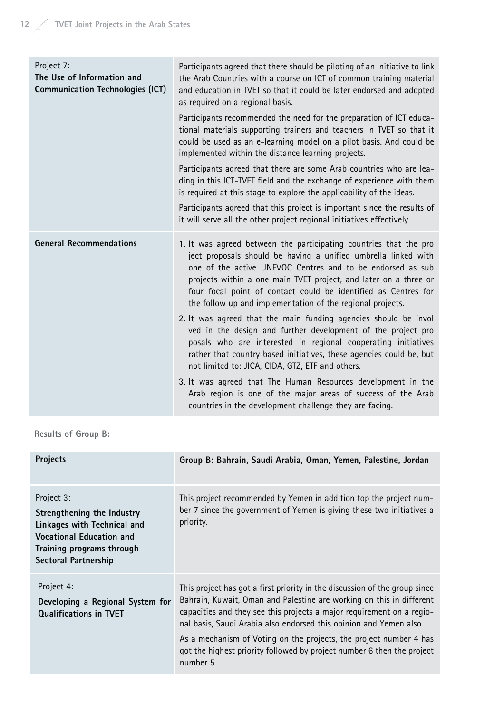| Project 7:<br>The Use of Information and<br><b>Communication Technologies (ICT)</b> | Participants agreed that there should be piloting of an initiative to link<br>the Arab Countries with a course on ICT of common training material<br>and education in TVET so that it could be later endorsed and adopted<br>as required on a regional basis.                                                                                                                                         |
|-------------------------------------------------------------------------------------|-------------------------------------------------------------------------------------------------------------------------------------------------------------------------------------------------------------------------------------------------------------------------------------------------------------------------------------------------------------------------------------------------------|
|                                                                                     | Participants recommended the need for the preparation of ICT educa-<br>tional materials supporting trainers and teachers in TVET so that it<br>could be used as an e-learning model on a pilot basis. And could be<br>implemented within the distance learning projects.                                                                                                                              |
|                                                                                     | Participants agreed that there are some Arab countries who are lea-<br>ding in this ICT-TVET field and the exchange of experience with them<br>is required at this stage to explore the applicability of the ideas.                                                                                                                                                                                   |
|                                                                                     | Participants agreed that this project is important since the results of<br>it will serve all the other project regional initiatives effectively.                                                                                                                                                                                                                                                      |
| <b>General Recommendations</b>                                                      | 1. It was agreed between the participating countries that the pro<br>ject proposals should be having a unified umbrella linked with<br>one of the active UNEVOC Centres and to be endorsed as sub<br>projects within a one main TVET project, and later on a three or<br>four focal point of contact could be identified as Centres for<br>the follow up and implementation of the regional projects. |
|                                                                                     | 2. It was agreed that the main funding agencies should be invol<br>ved in the design and further development of the project pro<br>posals who are interested in regional cooperating initiatives<br>rather that country based initiatives, these agencies could be, but<br>not limited to: JICA, CIDA, GTZ, ETF and others.                                                                           |
|                                                                                     | 3. It was agreed that The Human Resources development in the<br>Arab region is one of the major areas of success of the Arab<br>countries in the development challenge they are facing.                                                                                                                                                                                                               |

## **Results of Group B:**

| <b>Projects</b>                                                                                                                                                        | Group B: Bahrain, Saudi Arabia, Oman, Yemen, Palestine, Jordan                                                                                                                                                                                                                                                                                                                                                                                                 |
|------------------------------------------------------------------------------------------------------------------------------------------------------------------------|----------------------------------------------------------------------------------------------------------------------------------------------------------------------------------------------------------------------------------------------------------------------------------------------------------------------------------------------------------------------------------------------------------------------------------------------------------------|
| Project 3:<br>Strengthening the Industry<br>Linkages with Technical and<br><b>Vocational Education and</b><br>Training programs through<br><b>Sectoral Partnership</b> | This project recommended by Yemen in addition top the project num-<br>ber 7 since the government of Yemen is giving these two initiatives a<br>priority.                                                                                                                                                                                                                                                                                                       |
| Project 4:<br>Developing a Regional System for<br><b>Qualifications in TVET</b>                                                                                        | This project has got a first priority in the discussion of the group since<br>Bahrain, Kuwait, Oman and Palestine are working on this in different<br>capacities and they see this projects a major requirement on a regio-<br>nal basis, Saudi Arabia also endorsed this opinion and Yemen also.<br>As a mechanism of Voting on the projects, the project number 4 has<br>got the highest priority followed by project number 6 then the project<br>number 5. |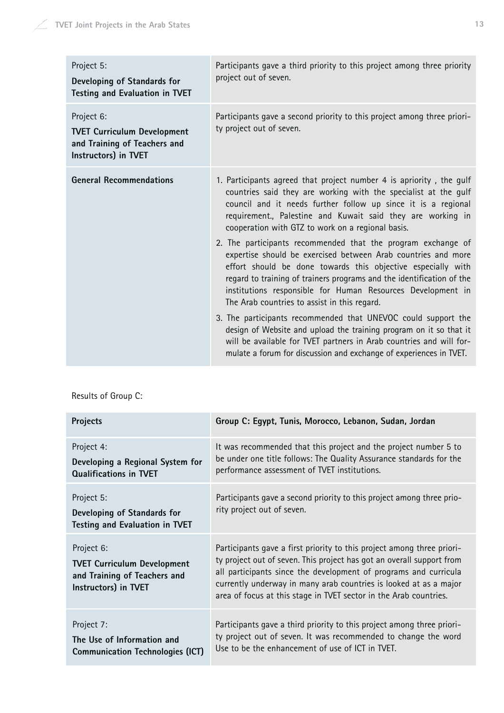| Project 5:<br>Developing of Standards for<br><b>Testing and Evaluation in TVET</b>                       | Participants gave a third priority to this project among three priority<br>project out of seven.                                                                                                                                                                                                                                                                                                                                                                                                                                                                                                                                                                                                                                                                                                                                                                                                                                                                                                         |
|----------------------------------------------------------------------------------------------------------|----------------------------------------------------------------------------------------------------------------------------------------------------------------------------------------------------------------------------------------------------------------------------------------------------------------------------------------------------------------------------------------------------------------------------------------------------------------------------------------------------------------------------------------------------------------------------------------------------------------------------------------------------------------------------------------------------------------------------------------------------------------------------------------------------------------------------------------------------------------------------------------------------------------------------------------------------------------------------------------------------------|
| Project 6:<br><b>TVET Curriculum Development</b><br>and Training of Teachers and<br>Instructors) in TVET | Participants gave a second priority to this project among three priori-<br>ty project out of seven.                                                                                                                                                                                                                                                                                                                                                                                                                                                                                                                                                                                                                                                                                                                                                                                                                                                                                                      |
| <b>General Recommendations</b>                                                                           | 1. Participants agreed that project number 4 is apriority, the gulf<br>countries said they are working with the specialist at the gulf<br>council and it needs further follow up since it is a regional<br>requirement., Palestine and Kuwait said they are working in<br>cooperation with GTZ to work on a regional basis.<br>2. The participants recommended that the program exchange of<br>expertise should be exercised between Arab countries and more<br>effort should be done towards this objective especially with<br>regard to training of trainers programs and the identification of the<br>institutions responsible for Human Resources Development in<br>The Arab countries to assist in this regard.<br>3. The participants recommended that UNEVOC could support the<br>design of Website and upload the training program on it so that it<br>will be available for TVET partners in Arab countries and will for-<br>mulate a forum for discussion and exchange of experiences in TVET. |

# Results of Group C:

| Projects                                                                                                 | Group C: Egypt, Tunis, Morocco, Lebanon, Sudan, Jordan                                                                                                                                                                                                                                                                                                        |
|----------------------------------------------------------------------------------------------------------|---------------------------------------------------------------------------------------------------------------------------------------------------------------------------------------------------------------------------------------------------------------------------------------------------------------------------------------------------------------|
| Project 4:<br>Developing a Regional System for<br><b>Qualifications in TVET</b>                          | It was recommended that this project and the project number 5 to<br>be under one title follows: The Quality Assurance standards for the<br>performance assessment of TVET institutions.                                                                                                                                                                       |
| Project 5:<br>Developing of Standards for<br><b>Testing and Evaluation in TVET</b>                       | Participants gave a second priority to this project among three prio-<br>rity project out of seven.                                                                                                                                                                                                                                                           |
| Project 6:<br><b>TVET Curriculum Development</b><br>and Training of Teachers and<br>Instructors) in TVET | Participants gave a first priority to this project among three priori-<br>ty project out of seven. This project has got an overall support from<br>all participants since the development of programs and curricula<br>currently underway in many arab countries is looked at as a major<br>area of focus at this stage in TVET sector in the Arab countries. |
| Project 7:<br>The Use of Information and<br><b>Communication Technologies (ICT)</b>                      | Participants gave a third priority to this project among three priori-<br>ty project out of seven. It was recommended to change the word<br>Use to be the enhancement of use of ICT in TVET.                                                                                                                                                                  |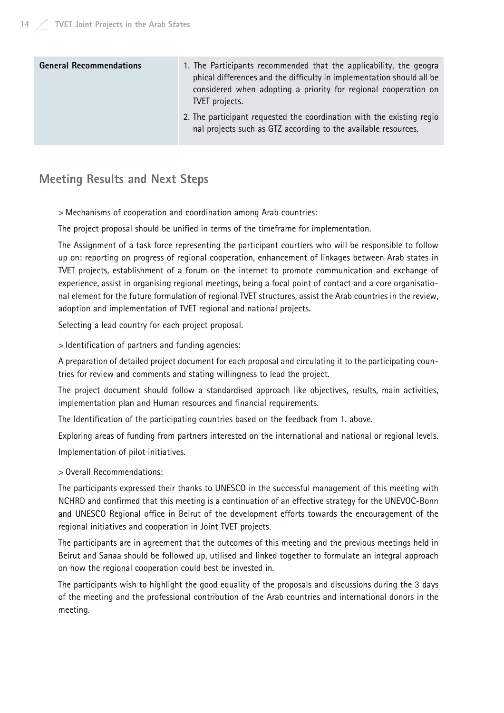| <b>General Recommendations</b> | 1. The Participants recommended that the applicability, the geogra<br>phical differences and the difficulty in implementation should all be<br>considered when adopting a priority for regional cooperation on<br>TVET projects. |  |
|--------------------------------|----------------------------------------------------------------------------------------------------------------------------------------------------------------------------------------------------------------------------------|--|
|                                | 2. The participant requested the coordination with the existing regio<br>nal projects such as GTZ according to the available resources.                                                                                          |  |

## **Meeting Results and Next Steps**

> Mechanisms of cooperation and coordination among Arab countries:

The project proposal should be unified in terms of the timeframe for implementation.

The Assignment of a task force representing the participant courtiers who will be responsible to follow up on: reporting on progress of regional cooperation, enhancement of linkages between Arab states in TVET projects, establishment of a forum on the internet to promote communication and exchange of experience, assist in organising regional meetings, being a focal point of contact and a core organisational element for the future formulation of regional TVET structures, assist the Arab countries in the review, adoption and implementation of TVET regional and national projects.

Selecting a lead country for each project proposal.

> Identification of partners and funding agencies:

A preparation of detailed project document for each proposal and circulating it to the participating countries for review and comments and stating willingness to lead the project.

The project document should follow a standardised approach like objectives, results, main activities, implementation plan and Human resources and financial requirements.

The Identification of the participating countries based on the feedback from 1. above.

Exploring areas of funding from partners interested on the international and national or regional levels. Implementation of pilot initiatives.

> Overall Recommendations:

The participants expressed their thanks to UNESCO in the successful management of this meeting with NCHRD and confirmed that this meeting is a continuation of an effective strategy for the UNEVOC-Bonn and UNESCO Regional office in Beirut of the development efforts towards the encouragement of the regional initiatives and cooperation in Joint TVET projects.

The participants are in agreement that the outcomes of this meeting and the previous meetings held in Beirut and Sanaa should be followed up, utilised and linked together to formulate an integral approach on how the regional cooperation could best be invested in.

The participants wish to highlight the good equality of the proposals and discussions during the 3 days of the meeting and the professional contribution of the Arab countries and international donors in the meeting.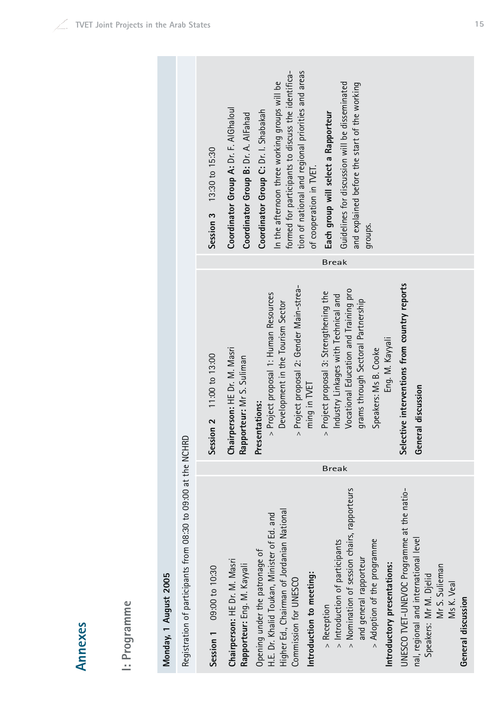I: Programme **I: Programme**

# Monday, 1 August 2005 **Monday, 1 August 2005**

Registration of participants from 08:30 to 09:00 at the NCHRD Registration of participants from 08:30 to 09:00 at the NCHRD

**Session 3** 13:30 to 15:30

Session 3 13:30 to 15:30

**Coordinator Group A:** Dr. F. AlGhaloul **Coordinator Group B:** Dr. A. AlFahad **Coordinator Group C:** Dr. I. Shabakah

Coordinator Group A: Dr. F. AlGhaloul

In the afternoon three working groups will be formed for participants to discuss the identification of national and regional priorities and areas

Coordinator Group C: Dr. I. Shabakah Coordinator Group B: Dr. A. AlFahad

of cooperation in TVET.

of cooperation in TVET.

tion of national and regional priorities and areas formed for participants to discuss the identifica-In the afternoon three working groups will be

**Each group will select a Rapporteur**

Each group will select a Rapporteur

Break

Guidelines for discussion will be disseminated and explained before the start of the working

Guidelines for discussion will be disseminated and explained before the start of the working

groups.

## **TVET Joint Projects in the Arab States 15**

Ms K. Veal

Ms K. Veal

**General discussion**

General discussion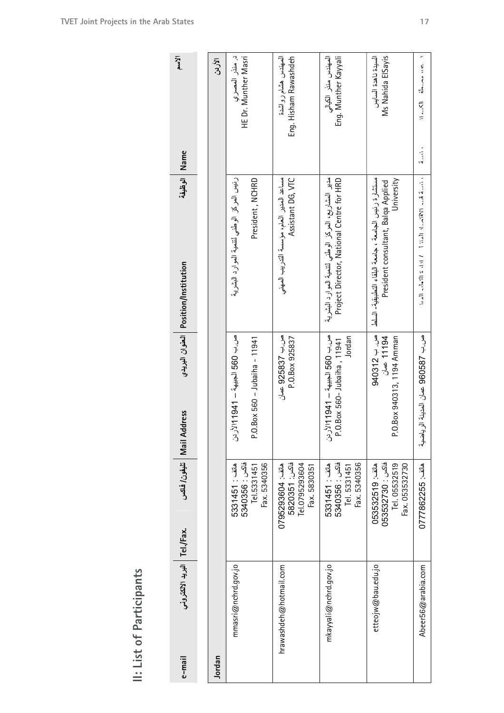| 115            |
|----------------|
| c              |
| ᡴᠦ             |
| ⊆              |
| ٠              |
| ۴<br>J         |
| ٠              |
| t              |
| Ф              |
| ௨              |
| ┶              |
| 0              |
| 55             |
|                |
| ٠.             |
|                |
|                |
| н. н<br>٠<br>۰ |
|                |

|                          | الإسم<br>Name                                     | الأردن | د. منذر المصري<br>HE Dr. Munther Masri                                        | Eng. Hisham Rawashdeh<br>المهندس هشام رواشدة                                   | Eng. Munther Kayyali<br>آمهندس ولند أآبائها                                                      | Ms Nahida ElSayis<br>السيدة ناهدة السايس                                                                   | h<br>an acide ID Le<br>، ئىسة                                                                                   |
|--------------------------|---------------------------------------------------|--------|-------------------------------------------------------------------------------|--------------------------------------------------------------------------------|--------------------------------------------------------------------------------------------------|------------------------------------------------------------------------------------------------------------|-----------------------------------------------------------------------------------------------------------------|
|                          | الوظيفة<br>Position/Institution   العفوان البريدي |        | رئيس العركز الوطني لتندبة الموارد البثىربة<br>President, NCHRD                | Assistant DG, VTC<br>مساعة المدير العام، مؤيسية التدريب الصهيب                 | مدير المشاربع، المركز الوطني لتنمية الموارد البشربة<br>Project Director, National Centre for HRD | University<br>مستشارة رئيس الجامعة ، جامعة البلقاء التطبيقية- السلط<br>President consultant, Balqa Applied | ، تُسبة قسم الاقتصاد المنز 1 / ادا، ة التعليم المعنى                                                            |
|                          | Mail Address   التيفون/ فاكس                      |        | <b>POINTS THING THE TOOD THING CO.</b><br>$190x$ 560 - Jubaiha - 11941<br>P.O | ص.ب 925837 عمان<br>P.O.Box 925837                                              | <b>POINTS THEFF - THOOD TO A STORY</b><br>Jordan<br>P.O.Box 560- Jubaiha, 11941                  | ص ب 1210312<br>P.O.Box 940313, 1194 Amman<br>1194 مىن                                                      | اسم 1 آزاد السلام 1 آزاد 1 آباد 1 آباد 1 آباد 1 آباد 1 آباد 1 آباد 1 آباد 1 آباد 1 آباد 1 آباد 1 آبا<br>رياضية. |
|                          |                                                   |        | فاکس : 5340356<br>Fax. 5340356<br>5331451 : Lebres<br>Tel.5331451             | <b>5820351</b> : 5820351<br>Tel.0795293604<br>ملتف: 0795293604<br>Fax. 5830351 | فاکس : 5340356<br>Fax. 5340356<br>5331451 : L<br>Tel. 5331451                                    | فاکس : 053332730 05<br>Tel. 05532519<br>Fax. 053532730<br>O53532519 : 4                                    | مانف: 0777862255                                                                                                |
| II: List of Participants | .Tel./Fax. البريد الالكتروني<br>e-mail            | Jordan | mmasri@nchrd.gov.jo                                                           | hrawashdeh@hotmail.com                                                         | mkayyali@nchrd.gov.jo                                                                            | etteojw@bau.edu.jo                                                                                         | Abeer56@arabia.com                                                                                              |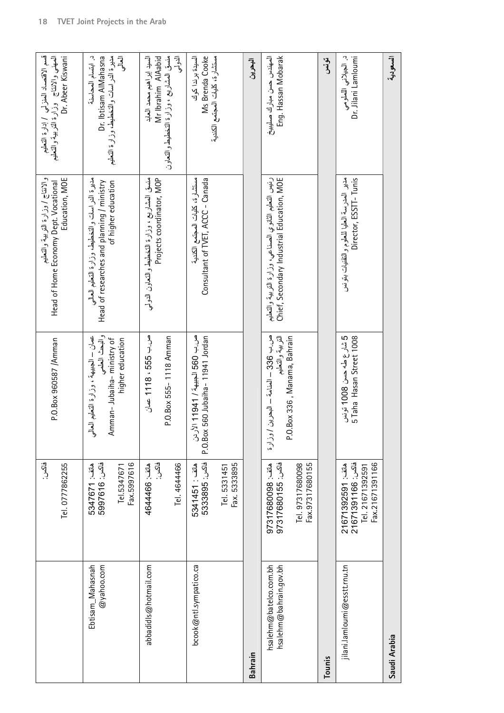| المسعودية                                                                    |                                                                                                    |                                                                                                          |                                                                               | Saudi Arabia                                     |
|------------------------------------------------------------------------------|----------------------------------------------------------------------------------------------------|----------------------------------------------------------------------------------------------------------|-------------------------------------------------------------------------------|--------------------------------------------------|
| د. الجيلاني اللعلومي<br>Dr. Jilani Lamloumi                                  | مدبر المدرسة الطيا للعلوم والنقنبات بتونس<br>Director, ESSTT-Tunis                                 | 5 شار ع ڪه حسن 1008 تونس<br>5 Taha Hasan Street 1008                                                     | فاكس: 16611391166<br>Fax.21671391166<br>ملتف: 21671392591<br>Tel. 21671392591 | jilani.lamloumi@esstt.rnu.tn                     |
| تىم<br>كەنسى                                                                 |                                                                                                    |                                                                                                          |                                                                               | Tounis                                           |
|                                                                              |                                                                                                    |                                                                                                          | Tel. 97317680098<br>Fax.97317680155                                           |                                                  |
| Eng. Hassan Mobarak<br>المهندس حسن مبارك صليبيخ                              | رئيس التعليم الثانوي الصناعي، وزارة التربية والتعليم<br>Chief, Secondary Industrial Education, MOE | ص ب 305 – المنامة – البحرين / وزارة<br>P.O.Box 336, Manama, Bahrain<br>أتتربيبة والتعليع                 | فاكس: 17680155-9731<br>ماتف: 7317680098 / 731                                 | hsalehm@batelco.com.bh<br>hsalehm@bahrain.gov.bh |
| آبدرين                                                                       |                                                                                                    |                                                                                                          |                                                                               | Bahrain                                          |
|                                                                              |                                                                                                    |                                                                                                          | Fax. 5333895<br>Tel. 5331451                                                  |                                                  |
| السيدة بر ندا كو ك<br>Ms Brenda Cooke<br>مستثنار ة، كليات المجتمع الكندية    | مستشار ة، كليات المجتمع الكندية<br>Consultant of TVET, ACCC - Canada                               | صن ب 560 الجبیهة / 1941 الأردن<br>P.O.Box 560 Jubaiha- 11941 Jordan                                      | <b>5333895</b> : 5833885<br>ماتف : 5341451                                    | bcook@ntl.sympatico.ca                           |
| منسق المشاريع ، وزارة التخطيط والتعاون<br>آھي۔<br>پا                         |                                                                                                    | P.O.Box 555-1118 Amman                                                                                   | Tel. 4644466                                                                  |                                                  |
| السبية إيوا هيم مصمد العابة<br>Mr Ibrahim AlAabid                            | منسق المشاريع ، وزارة التخطيط والتعاون الدولي<br>Projects coordinator, MOP                         | ص ب 555 ، 1118 عمان                                                                                      | فاكس:<br>4644466 : 06                                                         | abbadidIs@hotmail.com                            |
| $\bar{A}$<br>مديرة الدراسات والتخطيط، وزارة التعليم<br>Dr. Ibtisam AIMahasna | of higher education<br>Head of researches and planning / ministry                                  | والبحث العلمي<br>عمان – الجبيهة ، وزارة التعليم العالمي<br>Amman-Jubaiha-ministry of<br>higher education | فاکس: 5997616<br>Fax.5997616<br>Tel.5347671                                   | @yahoo.com                                       |
| Dr. Abeer Kiswani                                                            | Education, MOE                                                                                     |                                                                                                          | Tel. 0777862255                                                               |                                                  |
| قسم الاقتصاد العنزلي / إدارة التعليم                                         | والانتاج / وزارة التربية والتعليم<br>Head of Home Economy Dept. Vocational                         | P.O.Box 960587 /Amman                                                                                    | فاكس:                                                                         |                                                  |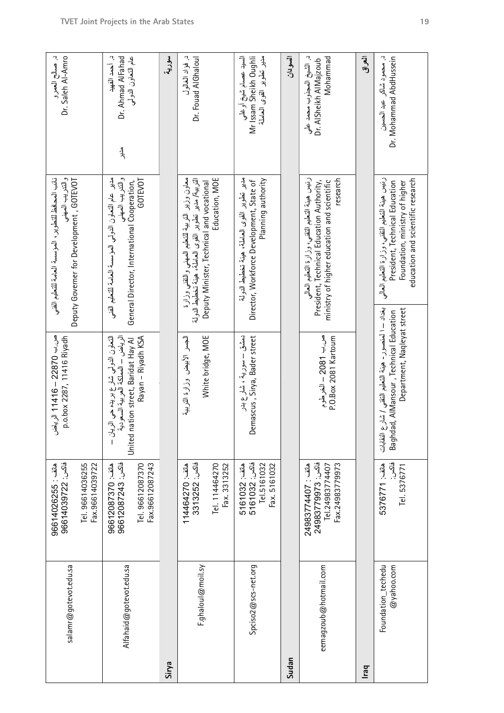| د. محمود شاکر عبد الحسین<br>Dr. Mohammad AbdHussein<br>العراق                                                                               | رئيس هيئة التعليم التقني، وزارة التعليم الحالي<br>education and scientific research<br>President, Technical Education<br>Foundation, ministry of higher                                                               | إنقلاق المقاسل المستقل المستقلة المستقل المقاسين المستقل المستقل المستقلة المستقل المستقل والمستقلة المستقلة المستقلة<br>Department, Nagleyat street<br>Baghdad, AIMansour, Technical Education         | فأكس<br>5376771: L<br>Tel. 5376771                                             | Foundation_techedu<br>$@$ yahoo.com<br>raq |
|---------------------------------------------------------------------------------------------------------------------------------------------|-----------------------------------------------------------------------------------------------------------------------------------------------------------------------------------------------------------------------|---------------------------------------------------------------------------------------------------------------------------------------------------------------------------------------------------------|--------------------------------------------------------------------------------|--------------------------------------------|
|                                                                                                                                             |                                                                                                                                                                                                                       |                                                                                                                                                                                                         |                                                                                |                                            |
| به المهام المسلم السلم المسلم المسلم المسلم المسلم المسلم المسلم المسلم المسلم المسلم المسلم المسلم ا<br>Mohammad<br>Dr. AlSheikh AlMajzoub | رئيس هيئة التعليم التقني، وزارة التعليم العالمي<br>research<br>President, Technical Education Authority,<br>ministry of higher education and scientific                                                               | ص ب 1981 – الترطن<br>P.O.Box 2081 Kartoum                                                                                                                                                               | فاكس: 24983779973<br>Tel.24983774407<br>Fax.24983779973<br>ماتف : 200477769872 | eemagzoub@hotmail.com                      |
| اتسودان                                                                                                                                     |                                                                                                                                                                                                                       |                                                                                                                                                                                                         |                                                                                | Sudan                                      |
| Mr Issam Sheikh Oughli<br>مدير تطوير القوى العاملة<br>آسڊ عصلہ ٽينج أوغل                                                                    | مدير تطوير القوى العاملة، هيئة تخطيط النولة<br>Planning authority<br>Director, Workforce Development, State of                                                                                                        | دمشق – سورية ، شار ع بدر<br>Demascus, Sirya, Bader street                                                                                                                                               | <b>5161032</b> : 5161<br>Tel.5161032<br>Fax. 5161032<br>ملتف: 5161032          | Spciso2@scs-net.org                        |
| ر پور آوندار آمریکا<br>Dr. Fouad AlGhaloul                                                                                                  | معاون وزير التزبية لتنطيع الصهني والتقني وزارة<br>Education, MOE<br>إنتركيلا كلام أوالله والمجال والمجال والمجال والمجال والمجال والمجال والمجال والمجال والمجال والمجال<br>Deputy Minister, Technical and vocational | White bridge, MOE<br>الجسر الأبيض وزارة القربية                                                                                                                                                         | فاكس: 3313252<br>Tel. 114464270<br>Fax. 3313252<br>ماتف: 114464270 1           | F.ghaloul@moil.sy                          |
| سورية.                                                                                                                                      |                                                                                                                                                                                                                       |                                                                                                                                                                                                         |                                                                                | Sirya                                      |
| د. أحمد الفهيد<br>Dr. Ahmad AlFahad<br>بار آماد آماد آباد آباد<br>ر<br>بار<br>م                                                             | <b>والسلام السابعة</b><br>مدبر عام التعاون الدولي المؤسسة العامة للتعليم الفني<br>GOTEVOT<br>General Director, International Cooperation,                                                                             | Rayan - Riyadh KSA<br>ا היה לינדי לא הני הרבי החיים המשתמשי לא הוא היה לא הוא היה לא הוא היה היה לא היה היה היה היה היה הי<br>الرياض – المعلكة العربية السعودية<br>United nation street, Baridat Hay Al | فاكس: 96612087243<br>ملتف: 06612087370<br>Tel. 96612087370<br>Fax.96612087243  | Alfahaid@gotevot.edu.sa                    |
| د. صالح العمرو<br>Dr. Saleh Al-Amro                                                                                                         | نائب المحافظ للتطوير ، المؤسسة العامة للتعليم الفني<br>والمجلس المتوالي المستوالية<br>Deputy Governer for Development, GOTEVOT                                                                                        | مر.ب 11410 1410 الرياض<br>o.box 2287, 11416 Riyadh                                                                                                                                                      | فاكس: 96614039722<br>Tel. 96614036255<br>Fax.96614039722<br>ملتف: 06614026255  | salamr@gotevot.edu.sa                      |

Sudan

Iraq

Sirya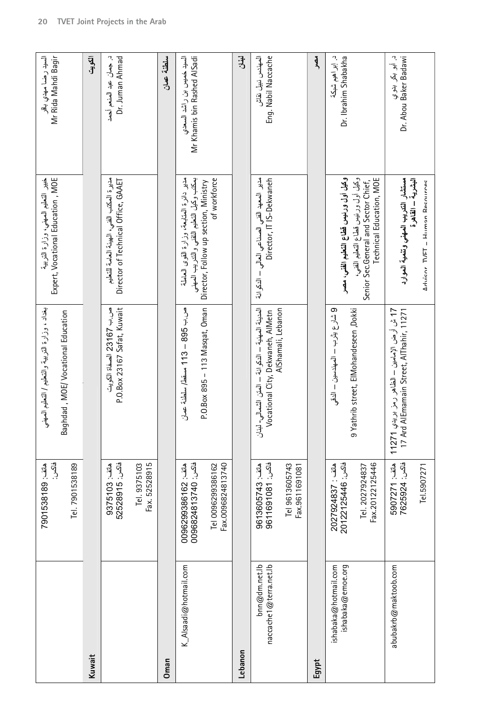|         |                                           | فاكس:<br>Alia : 0815381591                     | بداد 15 م 1945 / 1947 / 1944 / 1944 / 1944 / 1944 / 1944 / 1944                                              | Expert, Vocational Education, MOE<br>التعليم الصهنى، وزارة التربية                                                                               | Mr Rida Mahdi Bagir<br>السبذ رضا مهدي باقر               |
|---------|-------------------------------------------|------------------------------------------------|--------------------------------------------------------------------------------------------------------------|--------------------------------------------------------------------------------------------------------------------------------------------------|----------------------------------------------------------|
|         |                                           | Tel. 7901538189                                | Baghdad, MOE/Vocational Education                                                                            |                                                                                                                                                  |                                                          |
| Kuwait  |                                           |                                                |                                                                                                              |                                                                                                                                                  | آلا<br>أن                                                |
|         |                                           | <b>52528915</b> : 52528915<br>ملتف: 375103     | P.O.Box 23167 Safat, Kuwait<br>ص ب 23167 الصفاة الكويت                                                       | مديرة المكتب الفنى، الهيئة العامة للتعليم<br>Director of Technical Office, GAAET                                                                 | د. جمان عبد المنعم أحمد<br>Dr. Juman Ahmad               |
|         |                                           | Fax. 52528915<br>Tel. 9375103                  |                                                                                                              |                                                                                                                                                  |                                                          |
| Oman    |                                           |                                                |                                                                                                              |                                                                                                                                                  | سلطنة عصان                                               |
|         | K_Alsaadi@hotmail.com                     | فاكس: 04013740 00968248<br>ماتف: 0096299386162 | ص ب 895 – 113 مسقط/ سلطنة عمان                                                                               | به كانوا و كليلة التقليبية التقليبية و التقليبية و التقليبية و التقليبية و التقليبية و التقليبية و ا<br>مدير دائرة المتابعة، وزارة القوى العاملة | السبه خميس بن راشد السعدي<br>Mr Khamis bin Rashed AlSadi |
|         |                                           | Tel 0096299386162<br>Fax.0096824813740         | P.O.Box 895 - 113 Masqat, Oman                                                                               | of workforce<br>Director, Follow up section, Ministry                                                                                            |                                                          |
| Lebanon |                                           |                                                |                                                                                                              |                                                                                                                                                  | Ę.                                                       |
|         | naccache1@terra.net.lb<br>bnn@dm.net.b    | فاكس: 16910811691<br>9613605743 : Lilla        | المدينة المهنية – الدكوانة – العتن الشمالي- لبنان<br>AlShamali, Lebanon<br>Vocational City, Dekwaneh, AIMetn | مدير المعهد الفني الصناعي العالي – الذكوانة<br>Director, IT IS-Dekwaneh                                                                          | Eng. Nabil Naccache<br>آله من نبيل نقاش                  |
|         |                                           | Tel 9613605743<br>Fax.9611691081               |                                                                                                              |                                                                                                                                                  |                                                          |
| Egypt   |                                           |                                                |                                                                                                              |                                                                                                                                                  | $\tilde{\mathcal{J}}$                                    |
|         | ishabaka@hotmail.com<br>ishabaka@emoe.org | فاكس: 20122125446<br>ماتف : 2027924837         | <b>のりついばイナーラッキュウーラ</b>                                                                                       | وكيل أول ورنيس قطاع التعليم الفني، مصر                                                                                                           | د إبراهيم شبكة<br>Dr. Ibrahim Shabakha                   |
|         |                                           | Fax.20122125446<br>Tel. 2027924837             | Yathrib street, EIMohandeseen, Dokki<br>$\sigma$                                                             | وكميل أول ورنيس قطاع التعليم الفني،<br>Technical Education, MOE<br>Senior Sec.General and Sector Chief,                                          |                                                          |
|         | abubakrb@maktoob.com                      | فاكس: 7625924<br>ملتف: 5727159072              | 17 Ard AlEmamain Street, AlThahir, 11271<br>11271                                                            | مستثنار التذريب المهني وتنمية الموارد<br>البشرية – القاهرة                                                                                       | د اُبو بکر بدوي<br>Dr. Abou Baker Badawi                 |
|         |                                           | Tel.5907271                                    |                                                                                                              | Advient TVFT - Hilman Recollector                                                                                                                |                                                          |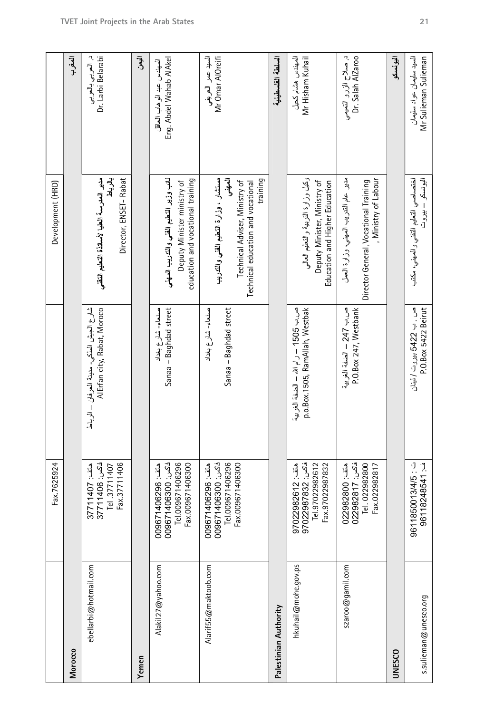| Alakil27@yahoo.com<br>ebellarbi@hotmail.com   | فاكس: 11406/1773<br>Fax.37711406<br>فاكس: 1406300 009671<br>Fax.7625924<br>Tel .37711407<br>هاتف: 1407/1407<br>ماتف: 009671406296 | يشرح الجيش المهاجها والأسلام المجانب المهاجم والأسابق<br>AlErfan city, Rabat, Moroco<br>صنعاء- شارع بغداد<br>Sanaa - Baghdad street | إليام أنواب المستور أبقيه أستطيع المستور المستور والمستور والمستور والمستور والمستور والمستور والمست<br>بائرباط<br>مدير الصفران للمعلولا لأسطيل التقليب التقليب<br>Director, ENSET-Rabat<br>Development (HRD) | د. آلمعربي بالعربي<br>Dr. Larbi Belarabi<br>العثرب<br>آلموش<br>Eng. Abdel Wahab AlAkel<br>إملاق أسلام أسلام أسلام أسلام أسلام أسلام أسلام أسلام أسلام أسلام أسلام أسلام أسلام أسلام أسلام أسلام |
|-----------------------------------------------|-----------------------------------------------------------------------------------------------------------------------------------|-------------------------------------------------------------------------------------------------------------------------------------|---------------------------------------------------------------------------------------------------------------------------------------------------------------------------------------------------------------|-------------------------------------------------------------------------------------------------------------------------------------------------------------------------------------------------|
| Alarif55@maktoob.com<br>Palestinian Authority | Tel.009671406296<br>فاكس: 1406300 009671<br>Tel.009671406296<br>Fax.009671406300<br>Fax.009671406300<br>ماتف: 009671406296        | Sanaa - Baghdad street<br>صنعاء- شارع بغداد                                                                                         | education and vocational training<br>آهيتي<br>training<br>مسلتلدار , وزارة التعليم الفني والتربيب<br>Technical Adviser, Ministry of<br>Deputy Minister ministry of<br>Technical education and vocational      | السبذ ععر العريفي<br>Mr Omar AlOreifi<br>السلطة القلسطينية                                                                                                                                      |
| hkuhail@mohe.gov.ps                           | فاكس: 97022987832<br>Tel.97022982612<br>Fax.97022987832<br>ماتف: 022982612                                                        | مر. ب 505 1 1500 – ر ام الله فسه العندفة الغزبية<br>p.o.Box.1505, RamAllah, Westbak                                                 | وكنيل وزارة التربية والتعليم العالي<br>Deputy Minister, Ministry of<br>Education and Higher Education                                                                                                         | Mr Hisham Kuhail<br>المهندس هشام كحيل                                                                                                                                                           |
| szaroo@gamil.com                              | فاکس: 022982817<br>Tel. 022982800<br>ماتف: 02882800<br>Fax.022982817                                                              | ص ب 747 – الضفة الغربية<br>P.O.Box 247, Westbank                                                                                    | ديد في التقويم التقريب المسلم التقريب المسلم المسلم المسلم المسلم المسلم المسلم المسلم المسلم المسلم<br>, Ministry of Labour<br>Director General, Vocational Training                                         | د. صلاح الزرو التعبيمي<br>Dr. Salah AlZaroo                                                                                                                                                     |
|                                               |                                                                                                                                   |                                                                                                                                     |                                                                                                                                                                                                               | آخرتسكو                                                                                                                                                                                         |
| s.sulieman@unesco.org                         | 96118248541<br>۰J<br>9611850013/4/5                                                                                               | مات - 27 245 بيروت / آبڊان<br>ما<br>P.O.Box 5422 Beirut                                                                             | اليونسكو –بيروت<br>اختصاصي التطيع التقني والمهنيء مكتب                                                                                                                                                        | Mr Sulieman Sulieman<br>السيد سليمان عواد سليمان                                                                                                                                                |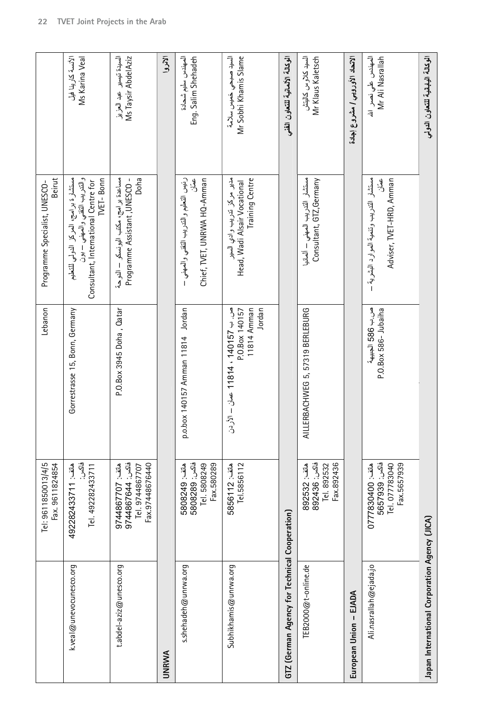| k.veal@unevocunesco.org | Tel: 9611850013/4/5<br>Fax. 9611824854                                       | Lebanon                                                                       | Beirut<br>Programme Specialist, UNESCO-                                                                                                                           |                                                     |
|-------------------------|------------------------------------------------------------------------------|-------------------------------------------------------------------------------|-------------------------------------------------------------------------------------------------------------------------------------------------------------------|-----------------------------------------------------|
|                         | فاكس<br>A92282433711 : 11<br>Tel. 492282433711                               | Gorrestrasse 15, Bonn, Germany                                                | والتدبيب التقفي والمصفي التقديس<br>TVET-Bonn<br>مستشارة برامج، المركز النولي للتعليم<br>Consultant, International Centre for                                      | الأنسة كارينا فيل<br>Ms Karina Veal                 |
|                         | فاكس: 44867644-974<br>Fax.97448676440<br>ماتف: 1071867707<br>Tel. 9744867707 | P.O.Box 3945 Doha, Qatar                                                      | Doha<br>مساعدة برامج، مكتب اليونسكو – الدوحة<br>Programme Assistant , UNESCO -                                                                                    | آسٽيٽو آئيسٽر جلد آهيٽو آهيو<br>Ms Taysir AbdelAziz |
|                         |                                                                              |                                                                               |                                                                                                                                                                   | ألانروا                                             |
|                         | فاكس: 5808289<br>Tel. 5808249<br>Fax.580289<br>ماتف: 5808249                 | p.o.box 140157 Amman 11814 Jordan                                             | - أَفَلَامِ الْمَسْتَقَامِينَ الْمُسْتَقَامِينَ الْمُسْتَقَامِينَ الْمُسْتَقَامَةِ الْمُسْتَقَامَةِ ا<br>عصّلن<br>Chief, TVET, UNRWA HQ-Amman                     | الصهندس يسليع تسمادة<br>Eng. Salim Shehadeh         |
|                         | Tel.5856112<br>5856112: Like                                                 | مر. ب 118147 ، 11814 مملن – الأردن<br>11814 Amman<br>Jordan<br>P.O.Box 140157 | مدبر کلار از به ایران کو استقرار کار استقرار در استقرار استقرار در استقرار در استقرار در استقرار استقرار استقر<br>Training Centre<br>Head, Wadi Alsair Vocational | السيد صبحي خميس سلامة<br>Mr Sobhi Khamis Slame      |
|                         | GTZ (German Agency for Technical Cooperation)                                |                                                                               |                                                                                                                                                                   | الوكالة الألمانية للتعاون الفني                     |
|                         | فاكس: 892436<br>Fax.892436<br>Tel. 892532<br>Alia : 325532                   | LLERBACHWEG 5, 57319 BERLEBURG<br>₹                                           | وسنتشار [11] المحاسب المعاشي المستقبل<br>Consultant, GTZ, Germany                                                                                                 | السبد كلاوس كالبتش<br>Mr Klaus Kaletsch             |
|                         |                                                                              |                                                                               |                                                                                                                                                                   | الاتحاد الأوروبي / مشروع إجادة                      |
| Ali.nasrallah@ejada.jo  | فاكس: 5657939<br>Fax.5657939<br>Tel. 077783040<br>هاتف: 0040304770           | ص ب 380 الجبيهة<br>P.O.Box 586-Jubaiha                                        | مستثنار التدريب وتنعية الموارد المتثرية –<br>لار.<br>وگ<br>Adviser, TVET-HRD, Amman                                                                               | العهندس علي نصر الله<br>Mr Ali Nasrallah            |
|                         | Japan International Corporation Agency (JICA)                                |                                                                               |                                                                                                                                                                   | الوكالة اليابانية للتعاون الدولي                    |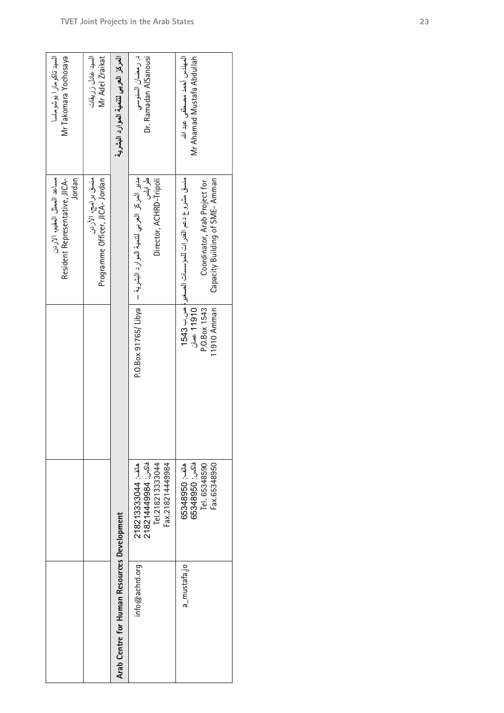| Mr Takomara Yochosaya<br>السبذ تاكومارا يوشوماسا                        | Mr Adel Zraikat<br>السبذ عادل زريقات                  | العركز العربي لتنمية العوارد البشرية        | د. رمضان السنوسي<br>Dr. Ramadan AlSanousi                                                                                                   | Mr Ahamad Mustafa Abdullah<br>المهندس أحمد مصطفى عبد الله       |
|-------------------------------------------------------------------------|-------------------------------------------------------|---------------------------------------------|---------------------------------------------------------------------------------------------------------------------------------------------|-----------------------------------------------------------------|
| مساعد الممثل المقيم، الأردن<br>Jordan<br>Resident Representative, JICA- | Programme Officer, JICA- Jordan<br>منسق برامج، الأردن |                                             | Director, ACHRD-Tripoli<br>حدير العربي التدبية السرائية العوارد البشرية العربي ( 1140 - 1140 م) exertion xoation al ASO 1768 17<br>. طرابقس | Capacity Building of SME-Amman<br>Coordinator, Arab Project for |
|                                                                         |                                                       |                                             |                                                                                                                                             | 11910 عىلن<br>11910 Amman<br>P.O.Box 1543                       |
|                                                                         |                                                       |                                             | فاكس: 18214449984<br>Tel.218213333044<br>Fax.218214449984<br>218213333044 : bile                                                            | فاکس: 65348950<br>Fax.65348950<br>B5348950: 0<br>Tel. 65348590  |
|                                                                         |                                                       | Arab Centre for Human Resources Development | info@achrd.org                                                                                                                              | a_mustafa.jo                                                    |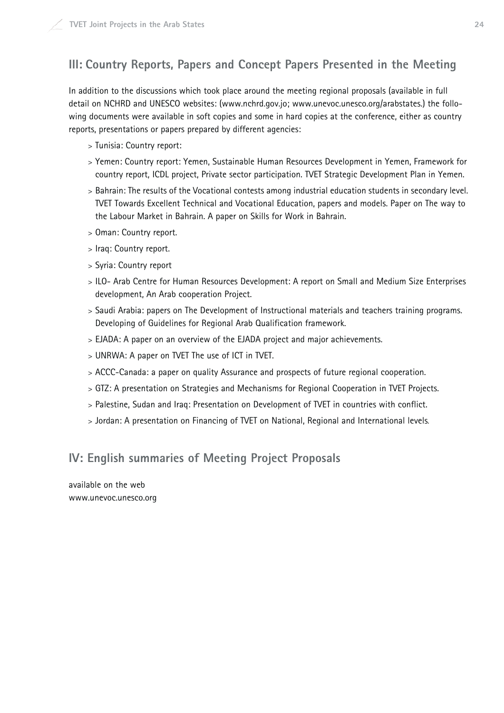## **III: Country Reports, Papers and Concept Papers Presented in the Meeting**

In addition to the discussions which took place around the meeting regional proposals (available in full detail on NCHRD and UNESCO websites: (www.nchrd.gov.jo; www.unevoc.unesco.org/arabstates.) the following documents were available in soft copies and some in hard copies at the conference, either as country reports, presentations or papers prepared by different agencies:

- > Tunisia: Country report:
- > Yemen: Country report: Yemen, Sustainable Human Resources Development in Yemen, Framework for country report, ICDL project, Private sector participation. TVET Strategic Development Plan in Yemen.
- > Bahrain: The results of the Vocational contests among industrial education students in secondary level. TVET Towards Excellent Technical and Vocational Education, papers and models. Paper on The way to the Labour Market in Bahrain. A paper on Skills for Work in Bahrain.
- > Oman: Country report.
- > Iraq: Country report.
- > Syria: Country report
- > ILO- Arab Centre for Human Resources Development: A report on Small and Medium Size Enterprises development, An Arab cooperation Project.
- > Saudi Arabia: papers on The Development of Instructional materials and teachers training programs. Developing of Guidelines for Regional Arab Qualification framework.
- > EJADA: A paper on an overview of the EJADA project and major achievements.
- > UNRWA: A paper on TVET The use of ICT in TVET.
- > ACCC-Canada: a paper on quality Assurance and prospects of future regional cooperation.
- > GTZ: A presentation on Strategies and Mechanisms for Regional Cooperation in TVET Projects.
- > Palestine, Sudan and Iraq: Presentation on Development of TVET in countries with conflict.
- > Jordan: A presentation on Financing of TVET on National, Regional and International levels.

## **IV: English summaries of Meeting Project Proposals**

available on the web www.unevoc.unesco.org